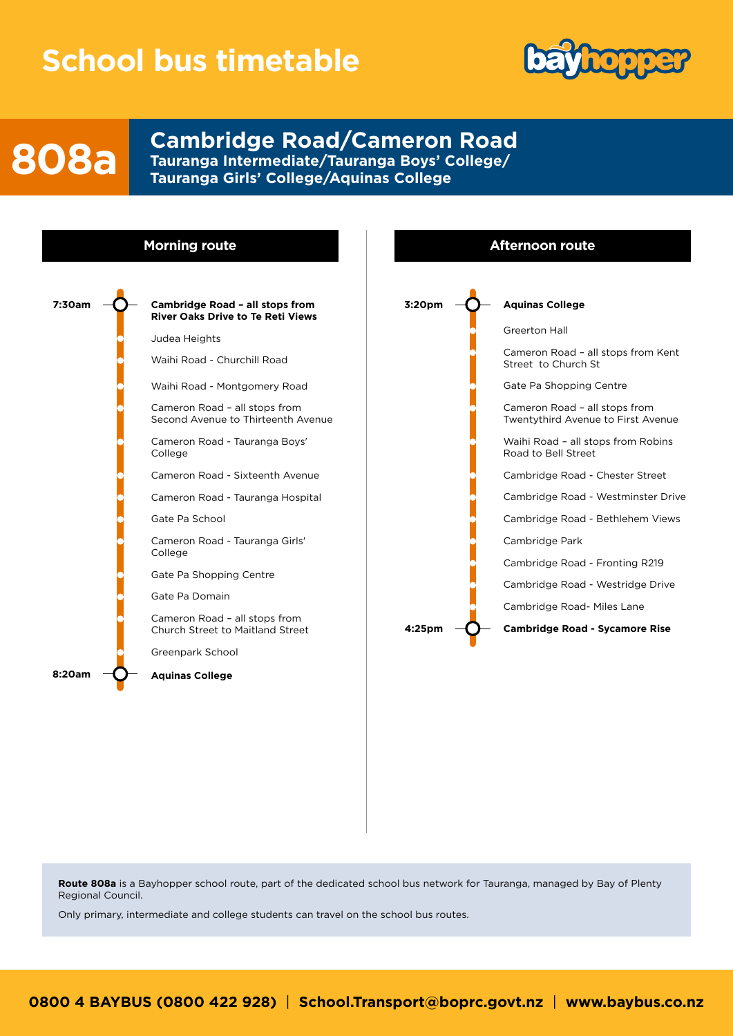## **School bus timetable**



## **808a**

**Cambridge Road/Cameron Road Tauranga Intermediate/Tauranga Boys' College/ Tauranga Girls' College/Aquinas College**



**Route 808a** is a Bayhopper school route, part of the dedicated school bus network for Tauranga, managed by Bay of Plenty Regional Council.

Only primary, intermediate and college students can travel on the school bus routes.